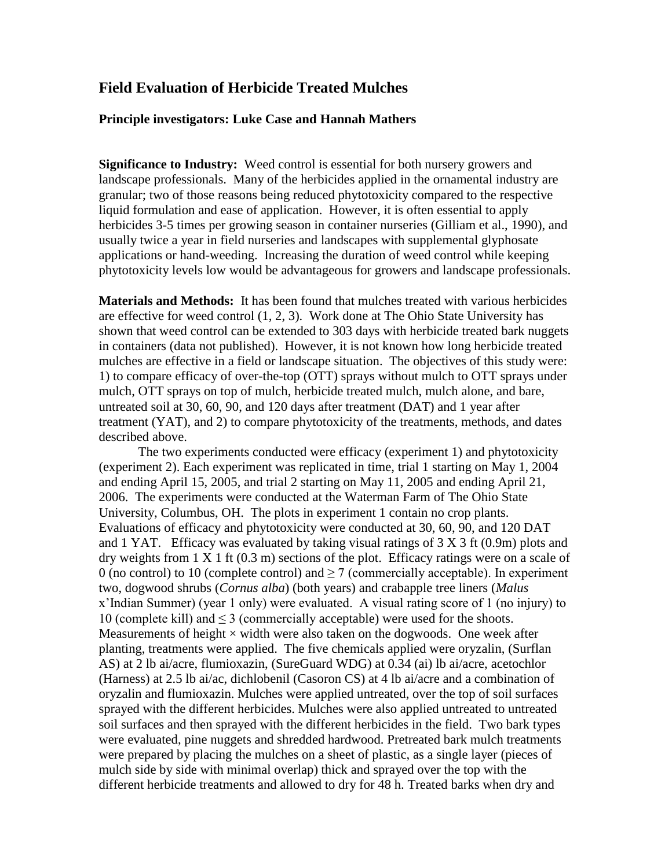# **Field Evaluation of Herbicide Treated Mulches**

#### **Principle investigators: Luke Case and Hannah Mathers**

**Significance to Industry:** Weed control is essential for both nursery growers and landscape professionals. Many of the herbicides applied in the ornamental industry are granular; two of those reasons being reduced phytotoxicity compared to the respective liquid formulation and ease of application. However, it is often essential to apply herbicides 3-5 times per growing season in container nurseries (Gilliam et al., 1990), and usually twice a year in field nurseries and landscapes with supplemental glyphosate applications or hand-weeding. Increasing the duration of weed control while keeping phytotoxicity levels low would be advantageous for growers and landscape professionals.

**Materials and Methods:** It has been found that mulches treated with various herbicides are effective for weed control (1, 2, 3). Work done at The Ohio State University has shown that weed control can be extended to 303 days with herbicide treated bark nuggets in containers (data not published). However, it is not known how long herbicide treated mulches are effective in a field or landscape situation. The objectives of this study were: 1) to compare efficacy of over-the-top (OTT) sprays without mulch to OTT sprays under mulch, OTT sprays on top of mulch, herbicide treated mulch, mulch alone, and bare, untreated soil at 30, 60, 90, and 120 days after treatment (DAT) and 1 year after treatment (YAT), and 2) to compare phytotoxicity of the treatments, methods, and dates described above.

The two experiments conducted were efficacy (experiment 1) and phytotoxicity (experiment 2). Each experiment was replicated in time, trial 1 starting on May 1, 2004 and ending April 15, 2005, and trial 2 starting on May 11, 2005 and ending April 21, 2006. The experiments were conducted at the Waterman Farm of The Ohio State University, Columbus, OH. The plots in experiment 1 contain no crop plants. Evaluations of efficacy and phytotoxicity were conducted at 30, 60, 90, and 120 DAT and 1 YAT. Efficacy was evaluated by taking visual ratings of  $3 \times 3$  ft (0.9m) plots and dry weights from  $1 \times 1$  ft  $(0.3 \text{ m})$  sections of the plot. Efficacy ratings were on a scale of 0 (no control) to 10 (complete control) and  $\geq$  7 (commercially acceptable). In experiment two, dogwood shrubs (*Cornus alba*) (both years) and crabapple tree liners (*Malus*  x'Indian Summer) (year 1 only) were evaluated. A visual rating score of 1 (no injury) to 10 (complete kill) and  $\leq$  3 (commercially acceptable) were used for the shoots. Measurements of height  $\times$  width were also taken on the dogwoods. One week after planting, treatments were applied. The five chemicals applied were oryzalin, (Surflan AS) at 2 lb ai/acre, flumioxazin, (SureGuard WDG) at 0.34 (ai) lb ai/acre, acetochlor (Harness) at 2.5 lb ai/ac, dichlobenil (Casoron CS) at 4 lb ai/acre and a combination of oryzalin and flumioxazin. Mulches were applied untreated, over the top of soil surfaces sprayed with the different herbicides. Mulches were also applied untreated to untreated soil surfaces and then sprayed with the different herbicides in the field. Two bark types were evaluated, pine nuggets and shredded hardwood. Pretreated bark mulch treatments were prepared by placing the mulches on a sheet of plastic, as a single layer (pieces of mulch side by side with minimal overlap) thick and sprayed over the top with the different herbicide treatments and allowed to dry for 48 h. Treated barks when dry and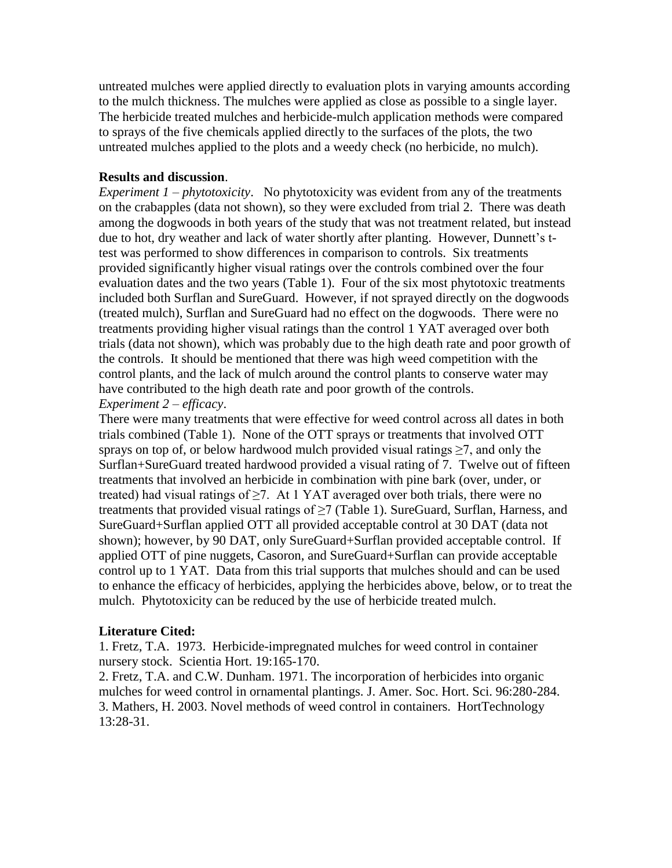untreated mulches were applied directly to evaluation plots in varying amounts according to the mulch thickness. The mulches were applied as close as possible to a single layer. The herbicide treated mulches and herbicide-mulch application methods were compared to sprays of the five chemicals applied directly to the surfaces of the plots, the two untreated mulches applied to the plots and a weedy check (no herbicide, no mulch).

#### **Results and discussion**.

*Experiment 1 – phytotoxicity*. No phytotoxicity was evident from any of the treatments on the crabapples (data not shown), so they were excluded from trial 2. There was death among the dogwoods in both years of the study that was not treatment related, but instead due to hot, dry weather and lack of water shortly after planting. However, Dunnett's ttest was performed to show differences in comparison to controls. Six treatments provided significantly higher visual ratings over the controls combined over the four evaluation dates and the two years (Table 1). Four of the six most phytotoxic treatments included both Surflan and SureGuard. However, if not sprayed directly on the dogwoods (treated mulch), Surflan and SureGuard had no effect on the dogwoods. There were no treatments providing higher visual ratings than the control 1 YAT averaged over both trials (data not shown), which was probably due to the high death rate and poor growth of the controls. It should be mentioned that there was high weed competition with the control plants, and the lack of mulch around the control plants to conserve water may have contributed to the high death rate and poor growth of the controls.

### *Experiment 2* – *efficacy*.

There were many treatments that were effective for weed control across all dates in both trials combined (Table 1). None of the OTT sprays or treatments that involved OTT sprays on top of, or below hardwood mulch provided visual ratings  $\geq 7$ , and only the Surflan+SureGuard treated hardwood provided a visual rating of 7. Twelve out of fifteen treatments that involved an herbicide in combination with pine bark (over, under, or treated) had visual ratings of ≥7. At 1 YAT averaged over both trials, there were no treatments that provided visual ratings of  $\geq$  (Table 1). SureGuard, Surflan, Harness, and SureGuard+Surflan applied OTT all provided acceptable control at 30 DAT (data not shown); however, by 90 DAT, only SureGuard+Surflan provided acceptable control. If applied OTT of pine nuggets, Casoron, and SureGuard+Surflan can provide acceptable control up to 1 YAT. Data from this trial supports that mulches should and can be used to enhance the efficacy of herbicides, applying the herbicides above, below, or to treat the mulch. Phytotoxicity can be reduced by the use of herbicide treated mulch.

## **Literature Cited:**

1. Fretz, T.A. 1973. Herbicide-impregnated mulches for weed control in container nursery stock. Scientia Hort. 19:165-170.

2. Fretz, T.A. and C.W. Dunham. 1971. The incorporation of herbicides into organic mulches for weed control in ornamental plantings. J. Amer. Soc. Hort. Sci. 96:280-284. 3. Mathers, H. 2003. Novel methods of weed control in containers. HortTechnology 13:28-31.